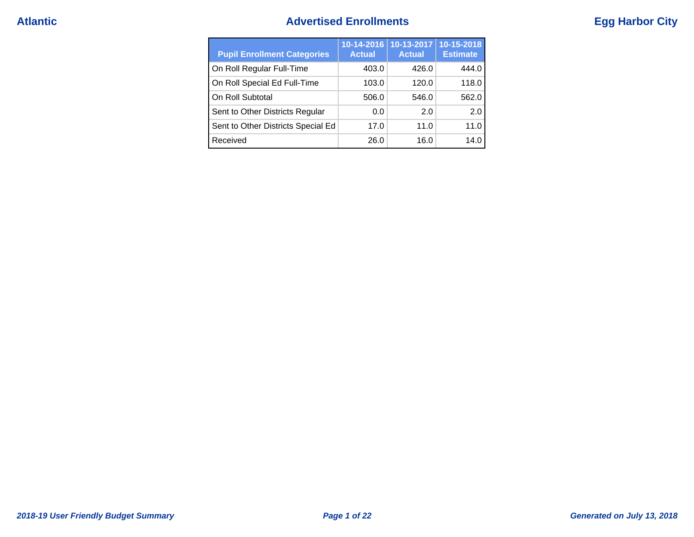## **Atlantic Advertised Enrollments Egg Harbor City**

| <b>Pupil Enrollment Categories</b> | $10 - 14 - 2016$<br><b>Actual</b> | 10-13-2017<br><b>Actual</b> | 10-15-2018<br><b>Estimate</b> |
|------------------------------------|-----------------------------------|-----------------------------|-------------------------------|
| On Roll Regular Full-Time          | 403.0                             | 426.0                       | 444.0                         |
| On Roll Special Ed Full-Time       | 103.0                             | 120.0                       | 118.0                         |
| On Roll Subtotal                   | 506.0                             | 546.0                       | 562.0                         |
| Sent to Other Districts Regular    | 0.0                               | 2.0                         | 2.0                           |
| Sent to Other Districts Special Ed | 17.0                              | 11.0                        | 11.0                          |
| Received                           | 26.0                              | 16.0                        | 14.0                          |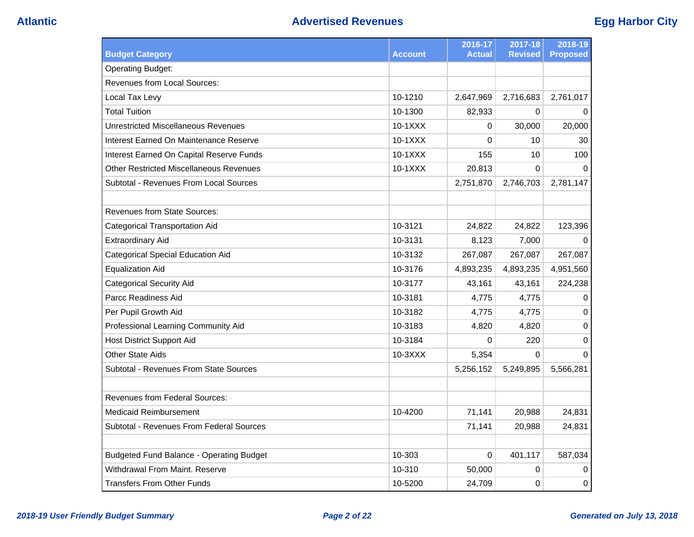| <b>Budget Category</b>                          | Account   | 2016-17<br><b>Actual</b> | 2017-18<br><b>Revised</b> | 2018-19<br><b>Proposed</b> |
|-------------------------------------------------|-----------|--------------------------|---------------------------|----------------------------|
| <b>Operating Budget:</b>                        |           |                          |                           |                            |
| <b>Revenues from Local Sources:</b>             |           |                          |                           |                            |
| Local Tax Levy                                  | 10-1210   | 2,647,969                | 2,716,683                 | 2,761,017                  |
| <b>Total Tuition</b>                            | 10-1300   | 82,933                   | 0                         | 0                          |
| <b>Unrestricted Miscellaneous Revenues</b>      | $10-1XXX$ | 0                        | 30,000                    | 20,000                     |
| Interest Earned On Maintenance Reserve          | 10-1XXX   | 0                        | 10                        | 30                         |
| Interest Earned On Capital Reserve Funds        | 10-1XXX   | 155                      | 10                        | 100                        |
| <b>Other Restricted Miscellaneous Revenues</b>  | 10-1XXX   | 20,813                   | $\Omega$                  | $\Omega$                   |
| Subtotal - Revenues From Local Sources          |           | 2,751,870                | 2,746,703                 | 2,781,147                  |
|                                                 |           |                          |                           |                            |
| <b>Revenues from State Sources:</b>             |           |                          |                           |                            |
| <b>Categorical Transportation Aid</b>           | 10-3121   | 24,822                   | 24,822                    | 123,396                    |
| <b>Extraordinary Aid</b>                        | 10-3131   | 8,123                    | 7,000                     | $\mathbf 0$                |
| <b>Categorical Special Education Aid</b>        | 10-3132   | 267,087                  | 267,087                   | 267,087                    |
| <b>Equalization Aid</b>                         | 10-3176   | 4,893,235                | 4,893,235                 | 4,951,560                  |
| <b>Categorical Security Aid</b>                 | 10-3177   | 43,161                   | 43,161                    | 224,238                    |
| Parcc Readiness Aid                             | 10-3181   | 4,775                    | 4,775                     | 0                          |
| Per Pupil Growth Aid                            | 10-3182   | 4,775                    | 4,775                     | 0                          |
| Professional Learning Community Aid             | 10-3183   | 4,820                    | 4,820                     | 0                          |
| <b>Host District Support Aid</b>                | 10-3184   | 0                        | 220                       | 0                          |
| <b>Other State Aids</b>                         | $10-3XXX$ | 5,354                    | $\Omega$                  | $\Omega$                   |
| Subtotal - Revenues From State Sources          |           | 5,256,152                | 5,249,895                 | 5,566,281                  |
| <b>Revenues from Federal Sources:</b>           |           |                          |                           |                            |
| <b>Medicaid Reimbursement</b>                   | 10-4200   | 71,141                   | 20,988                    | 24,831                     |
| Subtotal - Revenues From Federal Sources        |           | 71,141                   | 20,988                    | 24,831                     |
|                                                 |           |                          |                           |                            |
| <b>Budgeted Fund Balance - Operating Budget</b> | 10-303    | 0                        | 401,117                   | 587,034                    |
| Withdrawal From Maint, Reserve                  | 10-310    | 50,000                   | 0                         | 0                          |
| <b>Transfers From Other Funds</b>               | 10-5200   | 24,709                   | $\mathbf 0$               | 0                          |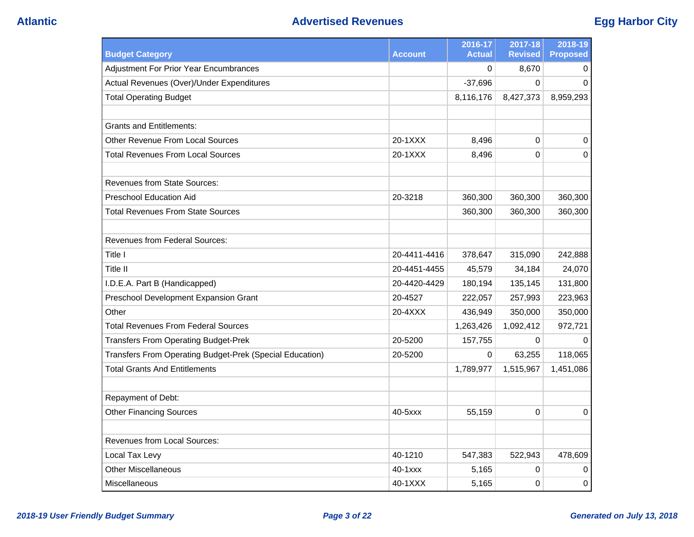## **Atlantic Advertised Revenues Egg Harbor City**

|                                                          |                | 2016-17       | 2017-18        | 2018-19         |
|----------------------------------------------------------|----------------|---------------|----------------|-----------------|
| <b>Budget Category</b>                                   | <b>Account</b> | <b>Actual</b> | <b>Revised</b> | <b>Proposed</b> |
| <b>Adjustment For Prior Year Encumbrances</b>            |                | $\Omega$      | 8,670          | 0               |
| Actual Revenues (Over)/Under Expenditures                |                | $-37,696$     | $\Omega$       | $\Omega$        |
| <b>Total Operating Budget</b>                            |                | 8,116,176     | 8,427,373      | 8,959,293       |
|                                                          |                |               |                |                 |
| <b>Grants and Entitlements:</b>                          |                |               |                |                 |
| <b>Other Revenue From Local Sources</b>                  | 20-1XXX        | 8,496         | 0              | 0               |
| <b>Total Revenues From Local Sources</b>                 | 20-1XXX        | 8,496         | $\mathbf 0$    | 0               |
|                                                          |                |               |                |                 |
| <b>Revenues from State Sources:</b>                      |                |               |                |                 |
| <b>Preschool Education Aid</b>                           | 20-3218        | 360,300       | 360,300        | 360,300         |
| <b>Total Revenues From State Sources</b>                 |                | 360,300       | 360,300        | 360,300         |
|                                                          |                |               |                |                 |
| <b>Revenues from Federal Sources:</b>                    |                |               |                |                 |
| Title I                                                  | 20-4411-4416   | 378,647       | 315,090        | 242,888         |
| Title II                                                 | 20-4451-4455   | 45,579        | 34,184         | 24,070          |
| I.D.E.A. Part B (Handicapped)                            | 20-4420-4429   | 180,194       | 135,145        | 131,800         |
| Preschool Development Expansion Grant                    | 20-4527        | 222,057       | 257,993        | 223,963         |
| Other                                                    | 20-4XXX        | 436,949       | 350,000        | 350,000         |
| <b>Total Revenues From Federal Sources</b>               |                | 1,263,426     | 1,092,412      | 972,721         |
| <b>Transfers From Operating Budget-Prek</b>              | 20-5200        | 157,755       | $\mathbf 0$    | 0               |
| Transfers From Operating Budget-Prek (Special Education) | 20-5200        | $\Omega$      | 63,255         | 118,065         |
| <b>Total Grants And Entitlements</b>                     |                | 1,789,977     | 1,515,967      | 1,451,086       |
|                                                          |                |               |                |                 |
| Repayment of Debt:                                       |                |               |                |                 |
| <b>Other Financing Sources</b>                           | 40-5xxx        | 55,159        | $\mathbf 0$    | 0               |
|                                                          |                |               |                |                 |
| <b>Revenues from Local Sources:</b>                      |                |               |                |                 |
| Local Tax Levy                                           | 40-1210        | 547,383       | 522,943        | 478,609         |
| <b>Other Miscellaneous</b>                               | $40 - 1$ $xxx$ | 5,165         | 0              | 0               |
| <b>Miscellaneous</b>                                     | 40-1XXX        | 5,165         | 0              | 0               |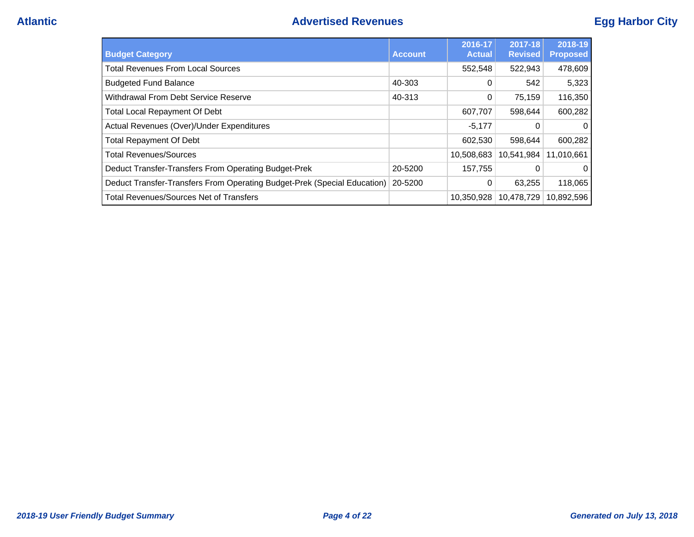| <b>Budget Category</b>                                                   | <b>Account</b> | 2016-17<br><b>Actual</b> | 2017-18<br><b>Revised</b> | 2018-19<br><b>Proposed</b> |
|--------------------------------------------------------------------------|----------------|--------------------------|---------------------------|----------------------------|
| <b>Total Revenues From Local Sources</b>                                 |                | 552,548                  | 522,943                   | 478,609                    |
| <b>Budgeted Fund Balance</b>                                             | 40-303         | 0                        | 542                       | 5,323                      |
| Withdrawal From Debt Service Reserve                                     | 40-313         | 0                        | 75,159                    | 116,350                    |
| <b>Total Local Repayment Of Debt</b>                                     |                | 607,707                  | 598,644                   | 600,282                    |
| Actual Revenues (Over)/Under Expenditures                                |                | $-5,177$                 | 0                         | $\Omega$                   |
| <b>Total Repayment Of Debt</b>                                           |                | 602,530                  | 598.644                   | 600,282                    |
| <b>Total Revenues/Sources</b>                                            |                | 10.508.683               | 10.541.984                | 11.010.661                 |
| Deduct Transfer-Transfers From Operating Budget-Prek                     | 20-5200        | 157,755                  | 0                         | $\Omega$                   |
| Deduct Transfer-Transfers From Operating Budget-Prek (Special Education) | 20-5200        | $\Omega$                 | 63,255                    | 118,065                    |
| <b>Total Revenues/Sources Net of Transfers</b>                           |                | 10,350,928               | 10,478,729                | 10,892,596                 |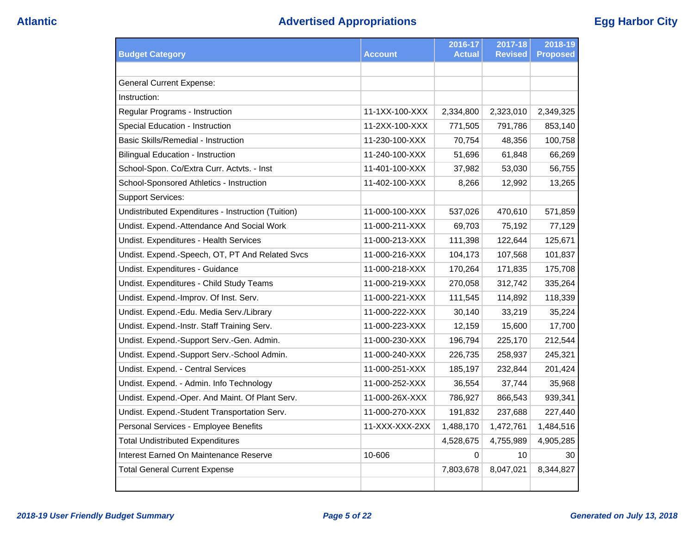| <b>Budget Category</b>                             | <b>Account</b> | 2016-17<br><b>Actual</b> | 2017-18<br><b>Revised</b> | 2018-19<br><b>Proposed</b> |
|----------------------------------------------------|----------------|--------------------------|---------------------------|----------------------------|
|                                                    |                |                          |                           |                            |
| <b>General Current Expense:</b>                    |                |                          |                           |                            |
| Instruction:                                       |                |                          |                           |                            |
| Regular Programs - Instruction                     | 11-1XX-100-XXX | 2,334,800                | 2,323,010                 | 2,349,325                  |
| Special Education - Instruction                    | 11-2XX-100-XXX | 771,505                  | 791,786                   | 853,140                    |
| <b>Basic Skills/Remedial - Instruction</b>         | 11-230-100-XXX | 70,754                   | 48,356                    | 100,758                    |
| <b>Bilingual Education - Instruction</b>           | 11-240-100-XXX | 51,696                   | 61,848                    | 66,269                     |
| School-Spon. Co/Extra Curr. Actvts. - Inst         | 11-401-100-XXX | 37,982                   | 53,030                    | 56,755                     |
| School-Sponsored Athletics - Instruction           | 11-402-100-XXX | 8,266                    | 12,992                    | 13,265                     |
| <b>Support Services:</b>                           |                |                          |                           |                            |
| Undistributed Expenditures - Instruction (Tuition) | 11-000-100-XXX | 537,026                  | 470,610                   | 571,859                    |
| Undist. Expend.-Attendance And Social Work         | 11-000-211-XXX | 69,703                   | 75,192                    | 77,129                     |
| Undist. Expenditures - Health Services             | 11-000-213-XXX | 111,398                  | 122,644                   | 125,671                    |
| Undist. Expend.-Speech, OT, PT And Related Svcs    | 11-000-216-XXX | 104,173                  | 107,568                   | 101,837                    |
| Undist. Expenditures - Guidance                    | 11-000-218-XXX | 170,264                  | 171,835                   | 175,708                    |
| Undist. Expenditures - Child Study Teams           | 11-000-219-XXX | 270,058                  | 312,742                   | 335,264                    |
| Undist. Expend.-Improv. Of Inst. Serv.             | 11-000-221-XXX | 111,545                  | 114,892                   | 118,339                    |
| Undist. Expend.-Edu. Media Serv./Library           | 11-000-222-XXX | 30,140                   | 33,219                    | 35,224                     |
| Undist. Expend.-Instr. Staff Training Serv.        | 11-000-223-XXX | 12,159                   | 15,600                    | 17,700                     |
| Undist. Expend.-Support Serv.-Gen. Admin.          | 11-000-230-XXX | 196,794                  | 225,170                   | 212,544                    |
| Undist. Expend.-Support Serv.-School Admin.        | 11-000-240-XXX | 226,735                  | 258,937                   | 245,321                    |
| Undist. Expend. - Central Services                 | 11-000-251-XXX | 185,197                  | 232,844                   | 201,424                    |
| Undist. Expend. - Admin. Info Technology           | 11-000-252-XXX | 36,554                   | 37,744                    | 35,968                     |
| Undist. Expend.-Oper. And Maint. Of Plant Serv.    | 11-000-26X-XXX | 786,927                  | 866,543                   | 939,341                    |
| Undist. Expend.-Student Transportation Serv.       | 11-000-270-XXX | 191,832                  | 237,688                   | 227,440                    |
| Personal Services - Employee Benefits              | 11-XXX-XXX-2XX | 1,488,170                | 1,472,761                 | 1,484,516                  |
| <b>Total Undistributed Expenditures</b>            |                | 4,528,675                | 4,755,989                 | 4,905,285                  |
| Interest Earned On Maintenance Reserve             | 10-606         | 0                        | 10                        | 30                         |
| <b>Total General Current Expense</b>               |                | 7,803,678                | 8,047,021                 | 8,344,827                  |
|                                                    |                |                          |                           |                            |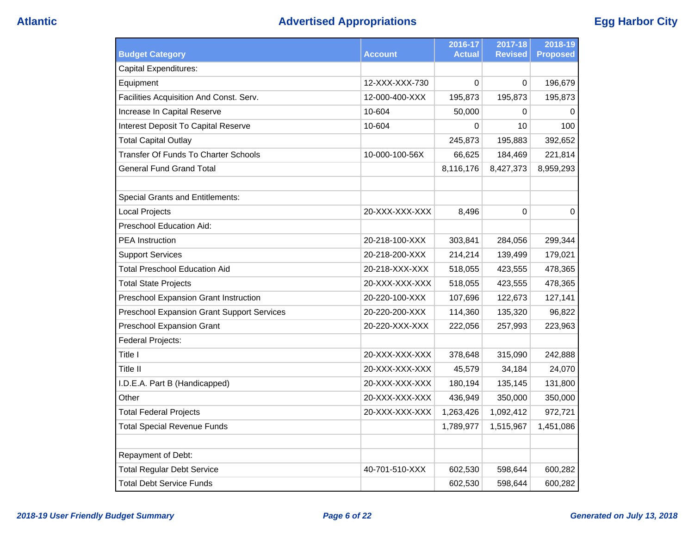# **Atlantic Advertised Appropriations Egg Harbor City**

| <b>Budget Category</b>                            | <b>Account</b> | 2016-17<br>Actual | $2017 - 18$<br><b>Revised</b> | 2018-19<br><b>Proposed</b> |
|---------------------------------------------------|----------------|-------------------|-------------------------------|----------------------------|
| <b>Capital Expenditures:</b>                      |                |                   |                               |                            |
| Equipment                                         | 12-XXX-XXX-730 | 0                 | $\Omega$                      | 196,679                    |
| Facilities Acquisition And Const. Serv.           | 12-000-400-XXX | 195,873           | 195,873                       | 195,873                    |
| Increase In Capital Reserve                       | 10-604         | 50,000            | 0                             | 0                          |
| Interest Deposit To Capital Reserve               | 10-604         | 0                 | 10                            | 100                        |
| <b>Total Capital Outlay</b>                       |                | 245,873           | 195,883                       | 392,652                    |
| <b>Transfer Of Funds To Charter Schools</b>       | 10-000-100-56X | 66,625            | 184,469                       | 221,814                    |
| <b>General Fund Grand Total</b>                   |                | 8,116,176         | 8,427,373                     | 8,959,293                  |
|                                                   |                |                   |                               |                            |
| <b>Special Grants and Entitlements:</b>           |                |                   |                               |                            |
| <b>Local Projects</b>                             | 20-XXX-XXX-XXX | 8,496             | $\Omega$                      | 0                          |
| <b>Preschool Education Aid:</b>                   |                |                   |                               |                            |
| <b>PEA</b> Instruction                            | 20-218-100-XXX | 303,841           | 284,056                       | 299,344                    |
| <b>Support Services</b>                           | 20-218-200-XXX | 214,214           | 139,499                       | 179,021                    |
| <b>Total Preschool Education Aid</b>              | 20-218-XXX-XXX | 518,055           | 423,555                       | 478,365                    |
| <b>Total State Projects</b>                       | 20-XXX-XXX-XXX | 518,055           | 423,555                       | 478,365                    |
| Preschool Expansion Grant Instruction             | 20-220-100-XXX | 107,696           | 122,673                       | 127,141                    |
| <b>Preschool Expansion Grant Support Services</b> | 20-220-200-XXX | 114,360           | 135,320                       | 96,822                     |
| <b>Preschool Expansion Grant</b>                  | 20-220-XXX-XXX | 222,056           | 257,993                       | 223,963                    |
| Federal Projects:                                 |                |                   |                               |                            |
| Title I                                           | 20-XXX-XXX-XXX | 378,648           | 315,090                       | 242,888                    |
| Title II                                          | 20-XXX-XXX-XXX | 45,579            | 34,184                        | 24,070                     |
| I.D.E.A. Part B (Handicapped)                     | 20-XXX-XXX-XXX | 180,194           | 135,145                       | 131,800                    |
| Other                                             | 20-XXX-XXX-XXX | 436,949           | 350,000                       | 350,000                    |
| <b>Total Federal Projects</b>                     | 20-XXX-XXX-XXX | 1,263,426         | 1,092,412                     | 972,721                    |
| <b>Total Special Revenue Funds</b>                |                | 1,789,977         | 1,515,967                     | 1,451,086                  |
|                                                   |                |                   |                               |                            |
| <b>Repayment of Debt:</b>                         |                |                   |                               |                            |
| <b>Total Regular Debt Service</b>                 | 40-701-510-XXX | 602,530           | 598,644                       | 600,282                    |
| <b>Total Debt Service Funds</b>                   |                | 602,530           | 598,644                       | 600,282                    |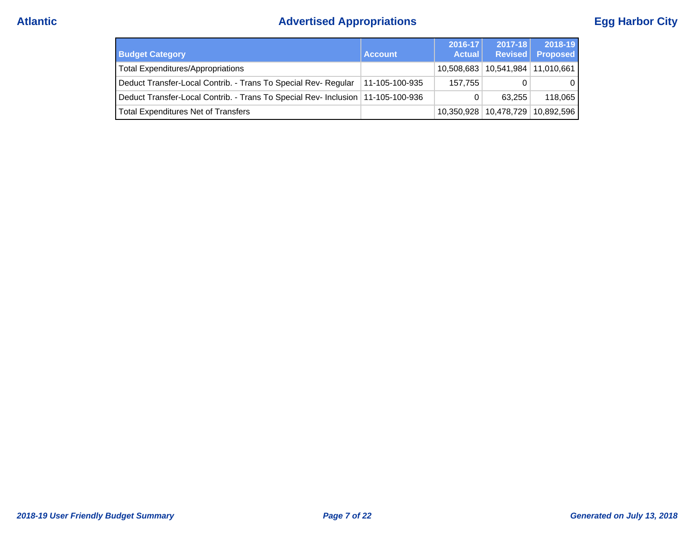# **Atlantic Advertised Appropriations Egg Harbor City**

| <b>Budget Category</b>                                                            | <b>Account</b> | $2016 - 17$<br><b>Actual</b> | $2017 - 18$ | 2018-19<br>Revised Proposed |
|-----------------------------------------------------------------------------------|----------------|------------------------------|-------------|-----------------------------|
| <b>Total Expenditures/Appropriations</b>                                          |                | 10,508,683                   |             | 10,541,984   11,010,661     |
| Deduct Transfer-Local Contrib. - Trans To Special Rev- Regular                    | 11-105-100-935 | 157.755                      |             | 0 I                         |
| Deduct Transfer-Local Contrib. - Trans To Special Rev- Inclusion   11-105-100-936 |                | 0                            | 63.255      | 118,065                     |
| <b>Total Expenditures Net of Transfers</b>                                        |                | 10.350.928                   |             | 10,478,729   10,892,596     |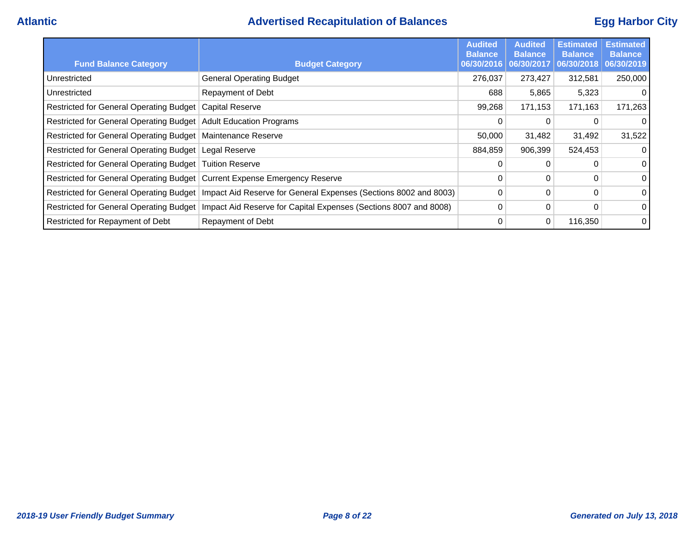## **Atlantic Advertised Recapitulation of Balances Egg Harbor City**

| <b>Fund Balance Category</b>                                              | <b>Budget Category</b>                                           | <b>Audited</b><br><b>Balance</b><br>06/30/2016 | <b>Audited</b><br><b>Balance</b><br>06/30/2017 | <b>Estimated</b><br><b>Balance</b><br>06/30/2018 | <b>Estimated</b><br><b>Balance</b><br>06/30/2019 |
|---------------------------------------------------------------------------|------------------------------------------------------------------|------------------------------------------------|------------------------------------------------|--------------------------------------------------|--------------------------------------------------|
| Unrestricted                                                              | <b>General Operating Budget</b>                                  | 276,037                                        | 273,427                                        | 312,581                                          | 250,000                                          |
| Unrestricted                                                              | <b>Repayment of Debt</b>                                         | 688                                            | 5,865                                          | 5,323                                            | $\overline{0}$                                   |
| Restricted for General Operating Budget                                   | <b>Capital Reserve</b>                                           | 99,268                                         | 171,153                                        | 171,163                                          | 171,263                                          |
| Restricted for General Operating Budget                                   | <b>Adult Education Programs</b>                                  | 0                                              | 0                                              | 0                                                | $\overline{0}$                                   |
| Restricted for General Operating Budget                                   | Maintenance Reserve                                              | 50,000                                         | 31,482                                         | 31,492                                           | 31,522                                           |
| Restricted for General Operating Budget                                   | Legal Reserve                                                    | 884,859                                        | 906,399                                        | 524,453                                          | $\overline{0}$                                   |
| Restricted for General Operating Budget   Tuition Reserve                 |                                                                  | $\Omega$                                       | $\Omega$                                       |                                                  | $\overline{0}$                                   |
| Restricted for General Operating Budget Current Expense Emergency Reserve |                                                                  | 0                                              | 0                                              | 0                                                | $\overline{0}$                                   |
| Restricted for General Operating Budget                                   | Impact Aid Reserve for General Expenses (Sections 8002 and 8003) | $\Omega$                                       | $\Omega$                                       | $\Omega$                                         | $\overline{0}$                                   |
| <b>Restricted for General Operating Budget</b>                            | Impact Aid Reserve for Capital Expenses (Sections 8007 and 8008) | 0                                              | 0                                              | 0                                                | 0 <sup>1</sup>                                   |
| Restricted for Repayment of Debt                                          | Repayment of Debt                                                | $\Omega$                                       | 0                                              | 116,350                                          | 0                                                |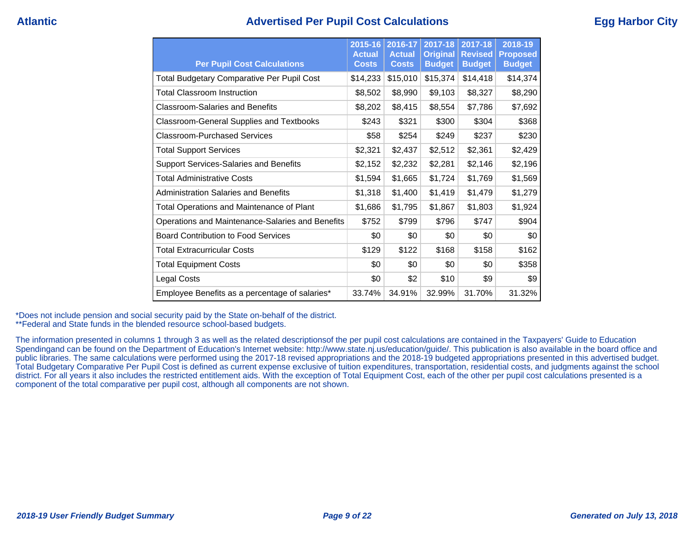## **Atlantic Advertised Per Pupil Cost Calculations Egg Harbor City**

| <b>Per Pupil Cost Calculations</b>                | $2015 - 16$<br><b>Actual</b><br><b>Costs</b> | 2016-17<br><b>Actual</b><br><b>Costs</b> | 2017-18<br><b>Original</b><br><b>Budget</b> | 2017-18<br><b>Revised</b><br><b>Budget</b> | 2018-19<br><b>Proposed</b><br><b>Budget</b> |
|---------------------------------------------------|----------------------------------------------|------------------------------------------|---------------------------------------------|--------------------------------------------|---------------------------------------------|
| <b>Total Budgetary Comparative Per Pupil Cost</b> | \$14,233                                     | \$15,010                                 | \$15,374                                    | \$14,418                                   | \$14,374                                    |
| <b>Total Classroom Instruction</b>                | \$8,502                                      | \$8,990                                  | \$9,103                                     | \$8,327                                    | \$8,290                                     |
| <b>Classroom-Salaries and Benefits</b>            | \$8,202                                      | \$8,415                                  | \$8,554                                     | \$7,786                                    | \$7,692                                     |
| <b>Classroom-General Supplies and Textbooks</b>   | \$243                                        | \$321                                    | \$300                                       | \$304                                      | \$368                                       |
| Classroom-Purchased Services                      | \$58                                         | \$254                                    | \$249                                       | \$237                                      | \$230                                       |
| <b>Total Support Services</b>                     | \$2,321                                      | \$2,437                                  | \$2,512                                     | \$2,361                                    | \$2,429                                     |
| <b>Support Services-Salaries and Benefits</b>     | \$2,152                                      | \$2,232                                  | \$2,281                                     | \$2,146                                    | \$2,196                                     |
| <b>Total Administrative Costs</b>                 | \$1,594                                      | \$1,665                                  | \$1,724                                     | \$1,769                                    | \$1,569                                     |
| <b>Administration Salaries and Benefits</b>       | \$1,318                                      | \$1,400                                  | \$1,419                                     | \$1,479                                    | \$1,279                                     |
| <b>Total Operations and Maintenance of Plant</b>  | \$1,686                                      | \$1,795                                  | \$1,867                                     | \$1,803                                    | \$1,924                                     |
| Operations and Maintenance-Salaries and Benefits  | \$752                                        | \$799                                    | \$796                                       | \$747                                      | \$904                                       |
| <b>Board Contribution to Food Services</b>        | \$0                                          | \$0                                      | \$0                                         | \$0                                        | \$0                                         |
| <b>Total Extracurricular Costs</b>                | \$129                                        | \$122                                    | \$168                                       | \$158                                      | \$162                                       |
| <b>Total Equipment Costs</b>                      | \$0                                          | \$0                                      | \$0                                         | \$0                                        | \$358                                       |
| Legal Costs                                       | \$0                                          | \$2                                      | \$10                                        | \$9                                        | \$9                                         |
| Employee Benefits as a percentage of salaries*    | 33.74%                                       | 34.91%                                   | 32.99%                                      | 31.70%                                     | 31.32%                                      |

\*Does not include pension and social security paid by the State on-behalf of the district.

\*\*Federal and State funds in the blended resource school-based budgets.

The information presented in columns 1 through 3 as well as the related descriptionsof the per pupil cost calculations are contained in the Taxpayers' Guide to Education Spendingand can be found on the Department of Education's Internet website: http://www.state.nj.us/education/guide/. This publication is also available in the board office and public libraries. The same calculations were performed using the 2017-18 revised appropriations and the 2018-19 budgeted appropriations presented in this advertised budget. Total Budgetary Comparative Per Pupil Cost is defined as current expense exclusive of tuition expenditures, transportation, residential costs, and judgments against the school district. For all years it also includes the restricted entitlement aids. With the exception of Total Equipment Cost, each of the other per pupil cost calculations presented is a component of the total comparative per pupil cost, although all components are not shown.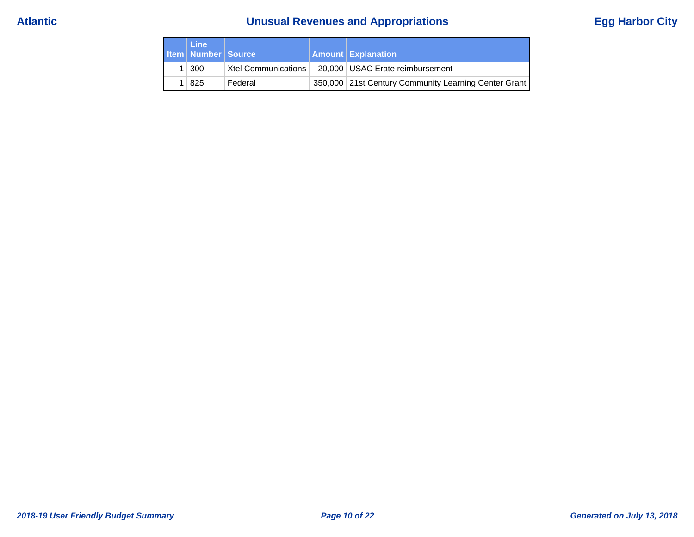# **Atlantic Unusual Revenues and Appropriations Egg Harbor City**

| <b>Line</b><br><b>Item   Number   Source /</b> |                     | <b>Amount Explanation</b>                            |
|------------------------------------------------|---------------------|------------------------------------------------------|
| $1 \mid 300$                                   | Xtel Communications | 20,000   USAC Erate reimbursement                    |
| 825                                            | Federal             | 350,000 21st Century Community Learning Center Grant |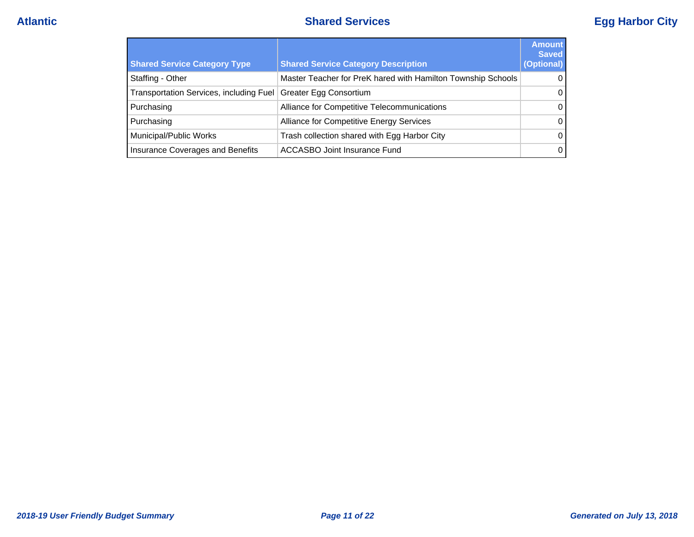# **Atlantic Shared Services Egg Harbor City**

| <b>Shared Service Category Type</b>     | <b>Shared Service Category Description</b>                   | <b>Amount</b><br><b>Saved</b><br>(Optional) |
|-----------------------------------------|--------------------------------------------------------------|---------------------------------------------|
| Staffing - Other                        | Master Teacher for PreK hared with Hamilton Township Schools | $\Omega$                                    |
| Transportation Services, including Fuel | <b>Greater Egg Consortium</b>                                | $\Omega$                                    |
| Purchasing                              | Alliance for Competitive Telecommunications                  | $\Omega$                                    |
| Purchasing                              | Alliance for Competitive Energy Services                     | $\Omega$                                    |
| Municipal/Public Works                  | Trash collection shared with Egg Harbor City                 | $\Omega$                                    |
| Insurance Coverages and Benefits        | ACCASBO Joint Insurance Fund                                 | $\Omega$                                    |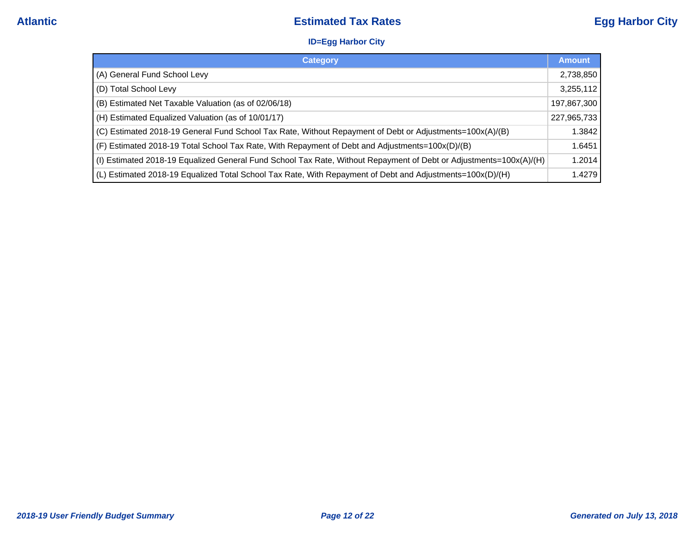### **ID=Egg Harbor City**

| <b>Category</b>                                                                                                    | <b>Amount</b> |
|--------------------------------------------------------------------------------------------------------------------|---------------|
| (A) General Fund School Levy                                                                                       | 2,738,850     |
| (D) Total School Levy                                                                                              | 3,255,112     |
| (B) Estimated Net Taxable Valuation (as of 02/06/18)                                                               | 197,867,300   |
| (H) Estimated Equalized Valuation (as of 10/01/17)                                                                 | 227,965,733   |
| (C) Estimated 2018-19 General Fund School Tax Rate, Without Repayment of Debt or Adjustments=100x(A)/(B)           | 1.3842        |
| (F) Estimated 2018-19 Total School Tax Rate, With Repayment of Debt and Adjustments=100x(D)/(B)                    | 1.6451        |
| (I) Estimated 2018-19 Equalized General Fund School Tax Rate, Without Repayment of Debt or Adjustments=100x(A)/(H) | 1.2014        |
| (L) Estimated 2018-19 Equalized Total School Tax Rate, With Repayment of Debt and Adjustments=100x(D)/(H)          | 1.4279        |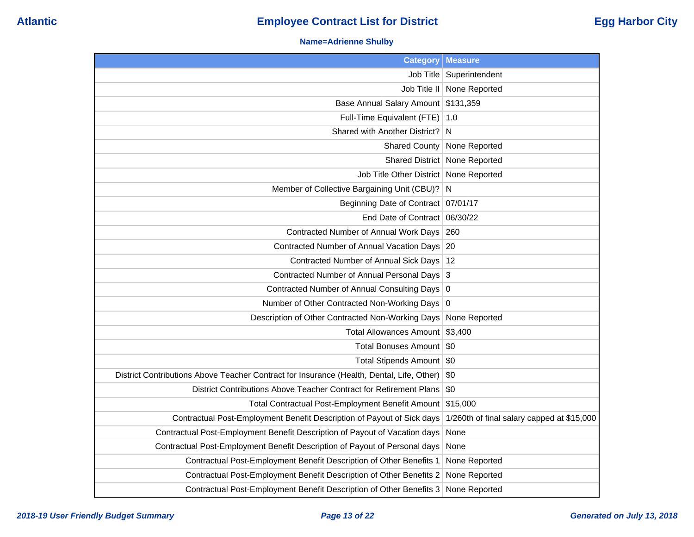### **Name=Adrienne Shulby**

| <b>Category</b>                                                                           | <b>Measure</b>                             |
|-------------------------------------------------------------------------------------------|--------------------------------------------|
|                                                                                           | Job Title   Superintendent                 |
| Job Title II                                                                              | None Reported                              |
| Base Annual Salary Amount \$131,359                                                       |                                            |
| Full-Time Equivalent (FTE)   1.0                                                          |                                            |
| Shared with Another District?                                                             | N                                          |
| <b>Shared County</b>                                                                      | None Reported                              |
|                                                                                           | Shared District   None Reported            |
| Job Title Other District   None Reported                                                  |                                            |
| Member of Collective Bargaining Unit (CBU)? N                                             |                                            |
| Beginning Date of Contract   07/01/17                                                     |                                            |
| End Date of Contract 06/30/22                                                             |                                            |
| Contracted Number of Annual Work Days   260                                               |                                            |
| Contracted Number of Annual Vacation Days 20                                              |                                            |
| Contracted Number of Annual Sick Days   12                                                |                                            |
| Contracted Number of Annual Personal Days 3                                               |                                            |
| Contracted Number of Annual Consulting Days 0                                             |                                            |
| Number of Other Contracted Non-Working Days 0                                             |                                            |
| Description of Other Contracted Non-Working Days                                          | None Reported                              |
| Total Allowances Amount \$3,400                                                           |                                            |
| Total Bonuses Amount   \$0                                                                |                                            |
| Total Stipends Amount   \$0                                                               |                                            |
| District Contributions Above Teacher Contract for Insurance (Health, Dental, Life, Other) | \$0                                        |
| District Contributions Above Teacher Contract for Retirement Plans                        | \$0                                        |
| Total Contractual Post-Employment Benefit Amount \$15,000                                 |                                            |
| Contractual Post-Employment Benefit Description of Payout of Sick days                    | 1/260th of final salary capped at \$15,000 |
| Contractual Post-Employment Benefit Description of Payout of Vacation days                | None                                       |
| Contractual Post-Employment Benefit Description of Payout of Personal days                | None                                       |
| Contractual Post-Employment Benefit Description of Other Benefits 1                       | None Reported                              |
| Contractual Post-Employment Benefit Description of Other Benefits 2                       | None Reported                              |
| Contractual Post-Employment Benefit Description of Other Benefits 3                       | None Reported                              |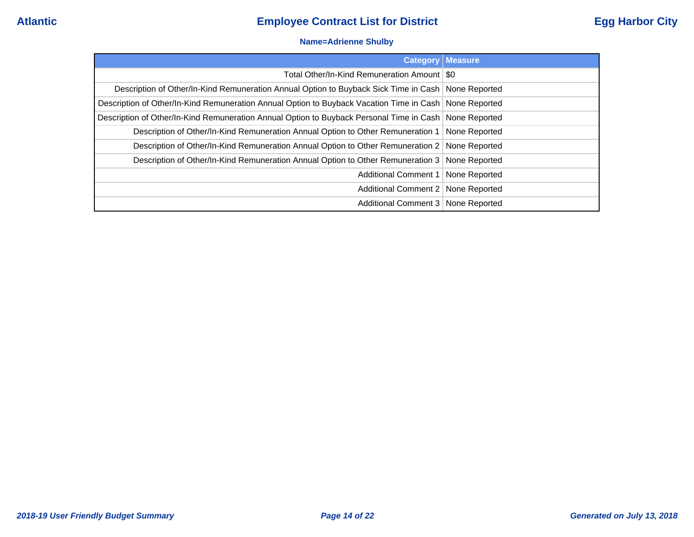### **Name=Adrienne Shulby**

| <b>Category Measure</b>                                                                                  |  |
|----------------------------------------------------------------------------------------------------------|--|
| Total Other/In-Kind Remuneration Amount   \$0                                                            |  |
| Description of Other/In-Kind Remuneration Annual Option to Buyback Sick Time in Cash   None Reported     |  |
| Description of Other/In-Kind Remuneration Annual Option to Buyback Vacation Time in Cash   None Reported |  |
| Description of Other/In-Kind Remuneration Annual Option to Buyback Personal Time in Cash   None Reported |  |
| Description of Other/In-Kind Remuneration Annual Option to Other Remuneration 1   None Reported          |  |
| Description of Other/In-Kind Remuneration Annual Option to Other Remuneration 2 None Reported            |  |
| Description of Other/In-Kind Remuneration Annual Option to Other Remuneration 3 None Reported            |  |
| Additional Comment 1   None Reported                                                                     |  |
| Additional Comment 2   None Reported                                                                     |  |
| Additional Comment 3   None Reported                                                                     |  |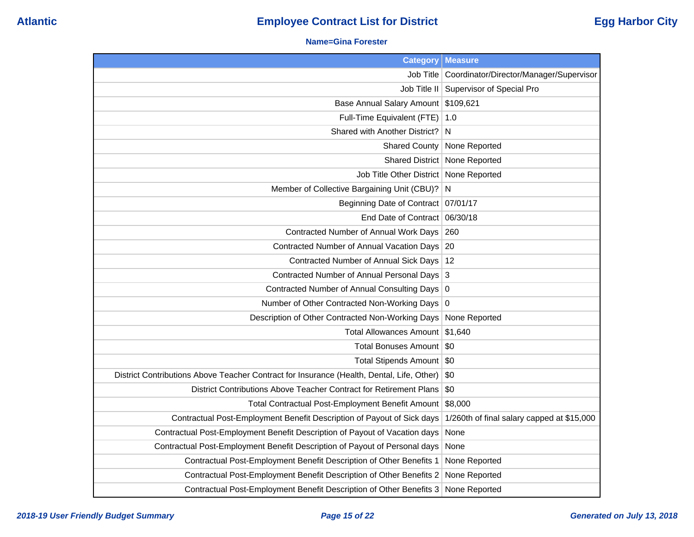### **Name=Gina Forester**

| <b>Category</b>                                                                           | <b>Measure</b>                                      |
|-------------------------------------------------------------------------------------------|-----------------------------------------------------|
|                                                                                           | Job Title   Coordinator/Director/Manager/Supervisor |
|                                                                                           | Job Title II   Supervisor of Special Pro            |
| Base Annual Salary Amount \$109,621                                                       |                                                     |
| Full-Time Equivalent (FTE)                                                                | 1.0                                                 |
| Shared with Another District? N                                                           |                                                     |
| <b>Shared County</b>                                                                      | None Reported                                       |
|                                                                                           | Shared District   None Reported                     |
| Job Title Other District   None Reported                                                  |                                                     |
| Member of Collective Bargaining Unit (CBU)? N                                             |                                                     |
| Beginning Date of Contract   07/01/17                                                     |                                                     |
| End Date of Contract                                                                      | 06/30/18                                            |
| Contracted Number of Annual Work Days                                                     | 260                                                 |
| Contracted Number of Annual Vacation Days                                                 | 20                                                  |
| Contracted Number of Annual Sick Days   12                                                |                                                     |
| Contracted Number of Annual Personal Days 3                                               |                                                     |
| Contracted Number of Annual Consulting Days 0                                             |                                                     |
| Number of Other Contracted Non-Working Days 0                                             |                                                     |
| Description of Other Contracted Non-Working Days                                          | None Reported                                       |
| <b>Total Allowances Amount</b>                                                            | \$1,640                                             |
| <b>Total Bonuses Amount</b>                                                               | -\$0                                                |
| Total Stipends Amount \$0                                                                 |                                                     |
| District Contributions Above Teacher Contract for Insurance (Health, Dental, Life, Other) | \$0                                                 |
| District Contributions Above Teacher Contract for Retirement Plans                        | \$0                                                 |
| Total Contractual Post-Employment Benefit Amount                                          | \$8,000                                             |
| Contractual Post-Employment Benefit Description of Payout of Sick days                    | 1/260th of final salary capped at \$15,000          |
| Contractual Post-Employment Benefit Description of Payout of Vacation days                | None                                                |
| Contractual Post-Employment Benefit Description of Payout of Personal days                | None                                                |
| Contractual Post-Employment Benefit Description of Other Benefits 1                       | None Reported                                       |
| Contractual Post-Employment Benefit Description of Other Benefits 2                       | None Reported                                       |
| Contractual Post-Employment Benefit Description of Other Benefits 3                       | None Reported                                       |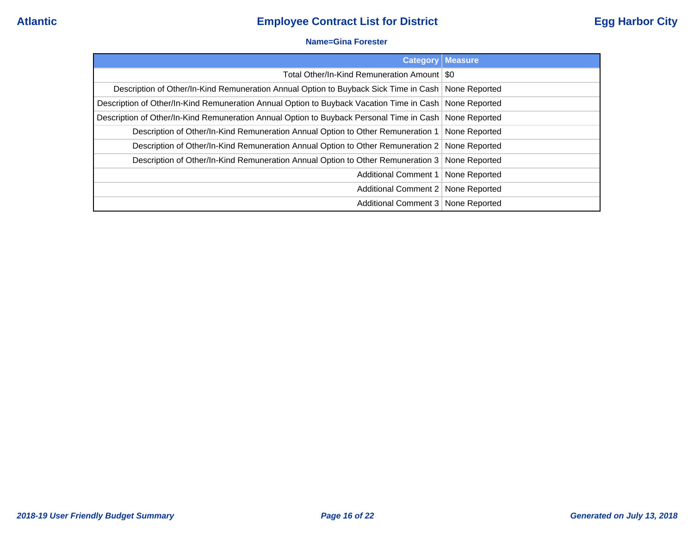### **Name=Gina Forester**

|                                                                                                        | <b>Category   Measure</b> |
|--------------------------------------------------------------------------------------------------------|---------------------------|
| Total Other/In-Kind Remuneration Amount   \$0                                                          |                           |
| Description of Other/In-Kind Remuneration Annual Option to Buyback Sick Time in Cash   None Reported   |                           |
| Description of Other/In-Kind Remuneration Annual Option to Buyback Vacation Time in Cash None Reported |                           |
| Description of Other/In-Kind Remuneration Annual Option to Buyback Personal Time in Cash None Reported |                           |
| Description of Other/In-Kind Remuneration Annual Option to Other Remuneration 1                        | None Reported             |
| Description of Other/In-Kind Remuneration Annual Option to Other Remuneration 2 None Reported          |                           |
| Description of Other/In-Kind Remuneration Annual Option to Other Remuneration 3 None Reported          |                           |
| Additional Comment 1   None Reported                                                                   |                           |
| Additional Comment 2   None Reported                                                                   |                           |
| Additional Comment 3 None Reported                                                                     |                           |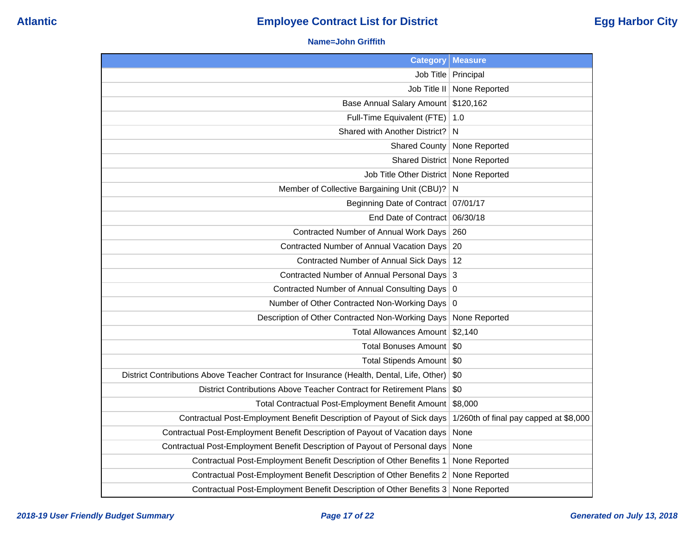### **Name=John Griffith**

| <b>Category</b>                                                                           | <b>Measure</b>                         |
|-------------------------------------------------------------------------------------------|----------------------------------------|
|                                                                                           | Job Title   Principal                  |
| Job Title II                                                                              | None Reported                          |
| Base Annual Salary Amount                                                                 | \$120,162                              |
| Full-Time Equivalent (FTE)                                                                | 1.0                                    |
| Shared with Another District?                                                             | N                                      |
| <b>Shared County</b>                                                                      | None Reported                          |
| Shared District                                                                           | None Reported                          |
| Job Title Other District                                                                  | None Reported                          |
| Member of Collective Bargaining Unit (CBU)?                                               | N                                      |
| <b>Beginning Date of Contract</b>                                                         | 07/01/17                               |
| End Date of Contract                                                                      | 06/30/18                               |
| Contracted Number of Annual Work Days                                                     | 260                                    |
| Contracted Number of Annual Vacation Days                                                 | 20                                     |
| Contracted Number of Annual Sick Days                                                     | 12                                     |
| Contracted Number of Annual Personal Days                                                 | 3                                      |
| Contracted Number of Annual Consulting Days   0                                           |                                        |
| Number of Other Contracted Non-Working Days                                               | 0                                      |
| Description of Other Contracted Non-Working Days                                          | None Reported                          |
| <b>Total Allowances Amount</b>                                                            | \$2,140                                |
| <b>Total Bonuses Amount</b>                                                               | \$0                                    |
| <b>Total Stipends Amount</b>                                                              | \$0                                    |
| District Contributions Above Teacher Contract for Insurance (Health, Dental, Life, Other) | \$0                                    |
| District Contributions Above Teacher Contract for Retirement Plans                        | \$0                                    |
| Total Contractual Post-Employment Benefit Amount                                          | \$8,000                                |
| Contractual Post-Employment Benefit Description of Payout of Sick days                    | 1/260th of final pay capped at \$8,000 |
| Contractual Post-Employment Benefit Description of Payout of Vacation days                | None                                   |
| Contractual Post-Employment Benefit Description of Payout of Personal days                | None                                   |
| Contractual Post-Employment Benefit Description of Other Benefits 1                       | None Reported                          |
| Contractual Post-Employment Benefit Description of Other Benefits 2                       | None Reported                          |
| Contractual Post-Employment Benefit Description of Other Benefits 3                       | None Reported                          |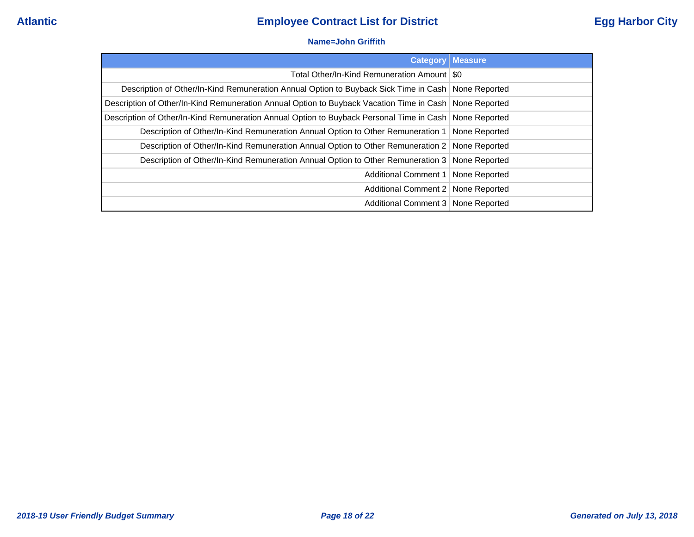### **Name=John Griffith**

| <b>Category</b>                                                                                          | <b>Measure</b> |
|----------------------------------------------------------------------------------------------------------|----------------|
| Total Other/In-Kind Remuneration Amount   \$0                                                            |                |
| Description of Other/In-Kind Remuneration Annual Option to Buyback Sick Time in Cash   None Reported     |                |
| Description of Other/In-Kind Remuneration Annual Option to Buyback Vacation Time in Cash   None Reported |                |
| Description of Other/In-Kind Remuneration Annual Option to Buyback Personal Time in Cash None Reported   |                |
| Description of Other/In-Kind Remuneration Annual Option to Other Remuneration 1   None Reported          |                |
| Description of Other/In-Kind Remuneration Annual Option to Other Remuneration 2   None Reported          |                |
| Description of Other/In-Kind Remuneration Annual Option to Other Remuneration 3   None Reported          |                |
| Additional Comment 1   None Reported                                                                     |                |
| Additional Comment 2   None Reported                                                                     |                |
| Additional Comment 3   None Reported                                                                     |                |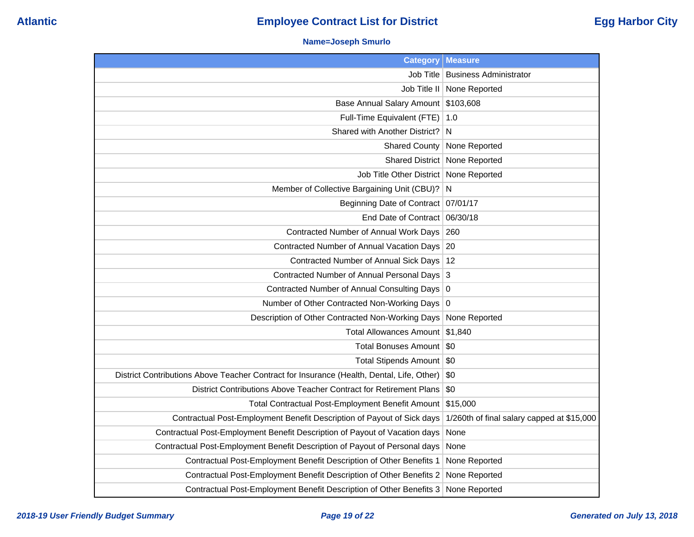### **Name=Joseph Smurlo**

| <b>Category</b>                                                                           | <b>Measure</b>                             |
|-------------------------------------------------------------------------------------------|--------------------------------------------|
| Job Title                                                                                 | <b>Business Administrator</b>              |
| Job Title II                                                                              | None Reported                              |
| <b>Base Annual Salary Amount</b>                                                          | \$103,608                                  |
| Full-Time Equivalent (FTE)                                                                | 1.0                                        |
| Shared with Another District?                                                             | N                                          |
| <b>Shared County</b>                                                                      | None Reported                              |
| <b>Shared District</b>                                                                    | None Reported                              |
| Job Title Other District                                                                  | None Reported                              |
| Member of Collective Bargaining Unit (CBU)?                                               | N                                          |
| Beginning Date of Contract   07/01/17                                                     |                                            |
| End Date of Contract                                                                      | 06/30/18                                   |
| Contracted Number of Annual Work Days                                                     | 260                                        |
| Contracted Number of Annual Vacation Days                                                 | -20                                        |
| Contracted Number of Annual Sick Days                                                     | -12                                        |
| Contracted Number of Annual Personal Days                                                 | 3                                          |
| Contracted Number of Annual Consulting Days 0                                             |                                            |
| Number of Other Contracted Non-Working Days                                               | 0                                          |
| Description of Other Contracted Non-Working Days                                          | None Reported                              |
| <b>Total Allowances Amount</b>                                                            | \$1,840                                    |
| Total Bonuses Amount   \$0                                                                |                                            |
| Total Stipends Amount   \$0                                                               |                                            |
| District Contributions Above Teacher Contract for Insurance (Health, Dental, Life, Other) | \$0                                        |
| District Contributions Above Teacher Contract for Retirement Plans                        | \$0                                        |
| Total Contractual Post-Employment Benefit Amount                                          | \$15,000                                   |
| Contractual Post-Employment Benefit Description of Payout of Sick days                    | 1/260th of final salary capped at \$15,000 |
| Contractual Post-Employment Benefit Description of Payout of Vacation days                | None                                       |
| Contractual Post-Employment Benefit Description of Payout of Personal days                | None                                       |
| Contractual Post-Employment Benefit Description of Other Benefits 1                       | None Reported                              |
| Contractual Post-Employment Benefit Description of Other Benefits 2                       | None Reported                              |
| Contractual Post-Employment Benefit Description of Other Benefits 3                       | None Reported                              |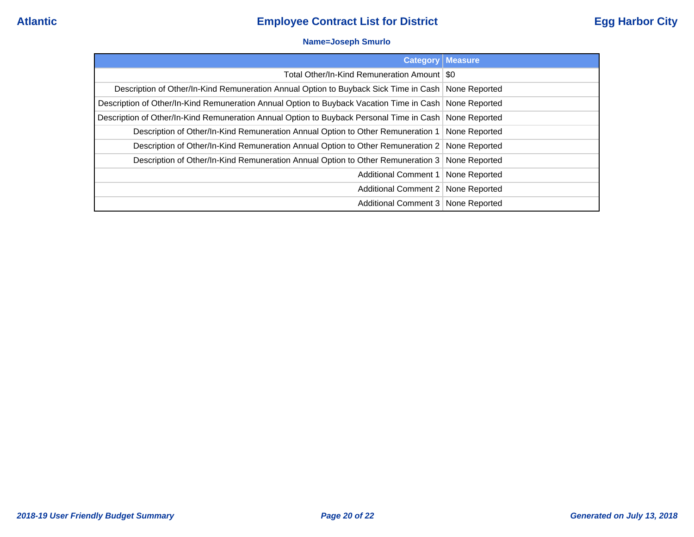### **Name=Joseph Smurlo**

|                                                                                                          | <b>Category   Measure</b> |
|----------------------------------------------------------------------------------------------------------|---------------------------|
| Total Other/In-Kind Remuneration Amount   \$0                                                            |                           |
| Description of Other/In-Kind Remuneration Annual Option to Buyback Sick Time in Cash   None Reported     |                           |
| Description of Other/In-Kind Remuneration Annual Option to Buyback Vacation Time in Cash   None Reported |                           |
| Description of Other/In-Kind Remuneration Annual Option to Buyback Personal Time in Cash   None Reported |                           |
| Description of Other/In-Kind Remuneration Annual Option to Other Remuneration 1 None Reported            |                           |
| Description of Other/In-Kind Remuneration Annual Option to Other Remuneration 2 None Reported            |                           |
| Description of Other/In-Kind Remuneration Annual Option to Other Remuneration 3 None Reported            |                           |
| Additional Comment 1   None Reported                                                                     |                           |
| Additional Comment 2   None Reported                                                                     |                           |
| Additional Comment 3   None Reported                                                                     |                           |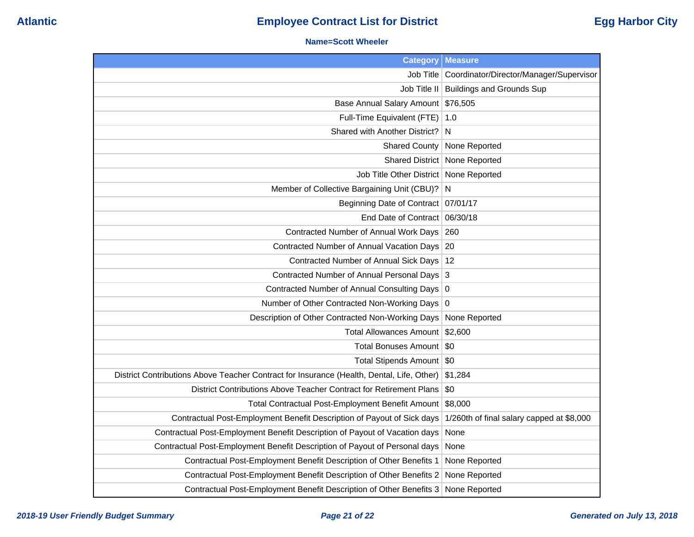### **Name=Scott Wheeler**

| <b>Category</b>                                                                           | <b>Measure</b>                            |
|-------------------------------------------------------------------------------------------|-------------------------------------------|
| Job Title                                                                                 | Coordinator/Director/Manager/Supervisor   |
| Job Title II                                                                              | <b>Buildings and Grounds Sup</b>          |
| Base Annual Salary Amount \$76,505                                                        |                                           |
| Full-Time Equivalent (FTE)                                                                | 1.0                                       |
| Shared with Another District?                                                             | N                                         |
| <b>Shared County</b>                                                                      | None Reported                             |
|                                                                                           | Shared District   None Reported           |
| Job Title Other District   None Reported                                                  |                                           |
| Member of Collective Bargaining Unit (CBU)?                                               | $\overline{N}$                            |
| Beginning Date of Contract   07/01/17                                                     |                                           |
| End Date of Contract   06/30/18                                                           |                                           |
| Contracted Number of Annual Work Days                                                     | 260                                       |
| Contracted Number of Annual Vacation Days                                                 | 20                                        |
| Contracted Number of Annual Sick Days   12                                                |                                           |
| Contracted Number of Annual Personal Days 3                                               |                                           |
| Contracted Number of Annual Consulting Days 0                                             |                                           |
| Number of Other Contracted Non-Working Days 0                                             |                                           |
| Description of Other Contracted Non-Working Days                                          | None Reported                             |
| Total Allowances Amount \$2,600                                                           |                                           |
| <b>Total Bonuses Amount</b>                                                               | <b>SO</b>                                 |
| Total Stipends Amount   \$0                                                               |                                           |
| District Contributions Above Teacher Contract for Insurance (Health, Dental, Life, Other) | \$1,284                                   |
| District Contributions Above Teacher Contract for Retirement Plans                        | \$0                                       |
| Total Contractual Post-Employment Benefit Amount                                          | \$8,000                                   |
| Contractual Post-Employment Benefit Description of Payout of Sick days                    | 1/260th of final salary capped at \$8,000 |
| Contractual Post-Employment Benefit Description of Payout of Vacation days                | None                                      |
| Contractual Post-Employment Benefit Description of Payout of Personal days                | None                                      |
| Contractual Post-Employment Benefit Description of Other Benefits 1                       | None Reported                             |
| Contractual Post-Employment Benefit Description of Other Benefits 2                       | None Reported                             |
| Contractual Post-Employment Benefit Description of Other Benefits 3                       | None Reported                             |